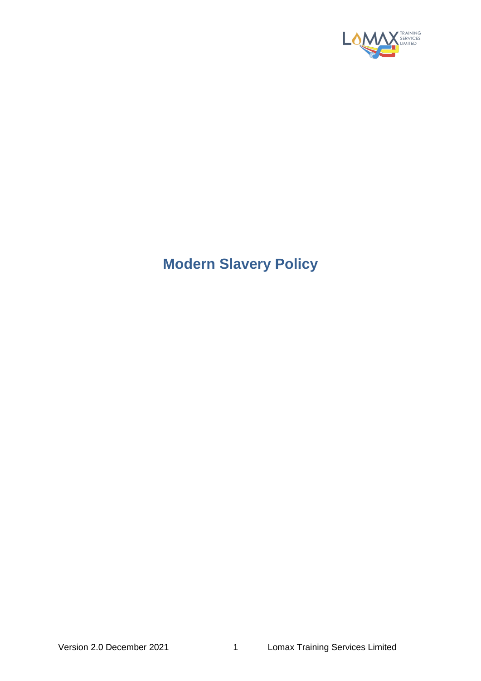

## **Modern Slavery Policy**